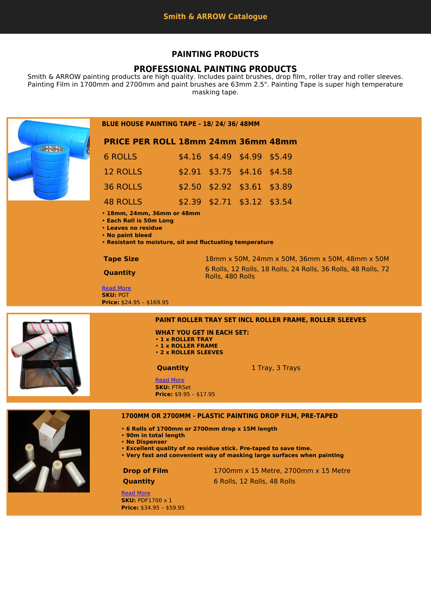# **PAINTING PRODUCTS**

## **PROFESSIONAL PAINTING PRODUCTS**

Smith & ARROW painting products are high quality. Includes paint brushes, drop film, roller tray and roller sleeves. Painting Film in 1700mm and 2700mm and paint brushes are 63mm 2.5". Painting Tape is super high temperature masking tape.



## **BLUE HOUSE PAINTING TAPE - 18/ 24/ 36/ 48MM**

# **PRICE PER ROLL 18mm 24mm 36mm 48mm**

| <b>6 ROLLS</b>  |  | \$4.16 \$4.49 \$4.99 \$5.49     |  |
|-----------------|--|---------------------------------|--|
| <b>12 ROLLS</b> |  | $$2.91$ $$3.75$ $$4.16$ $$4.58$ |  |
| <b>36 ROLLS</b> |  | $$2.50$ $$2.92$ $$3.61$ $$3.89$ |  |
| <b>48 ROLLS</b> |  | \$2.39 \$2.71 \$3.12 \$3.54     |  |

- **18mm, 24mm, 36mm or 48mm**
- **Each Roll is 50m Long**
- **Leaves no residue**
- **No paint bleed**
- **Resistant to moisture, oil and fluctuating temperature**

**Tape Size** 18mm x 50M, 24mm x 50M, 36mm x 50M, 48mm x 50M **Quantity** 6 Rolls, 12 Rolls, 18 Rolls, 24 Rolls, 36 Rolls, 48 Rolls, 72 Rolls, 480 Rolls

[Read More](https://www.smithandarrow.com.au/product/tape/blue-painting-tape/blue-painting-tape-18mm-24mm-48mm/) **SKU:** PGT **Price:** \$24.95 – \$169.95

### **PAINT ROLLER TRAY SET INCL ROLLER FRAME, ROLLER SLEEVES**

**WHAT YOU GET IN EACH SET:** • **1 x ROLLER TRAY** • **1 x ROLLER FRAME** • **2 x ROLLER SLEEVES**

**Quantity** 1 Tray, 3 Trays

[Read More](https://www.smithandarrow.com.au/product/painting-brushes/paint-roller-tray-roller-frame-roller-sleeves/) **SKU:** PTRSet **Price:** \$9.95 – \$17.95

### **1700MM OR 2700MM - PLASTIC PAINTING DROP FILM, PRE-TAPED**

- **6 Rolls of 1700mm or 2700mm drop x 15M length**
- **90m in total length**
- **No Dispenser**
- **Excellent quality of no residue stick. Pre-taped to save time.**
- **Very fast and convenient way of masking large surfaces when painting**

**Drop of Film** 1700mm x 15 Metre, 2700mm x 15 Metre **Quantity** 6 Rolls, 12 Rolls, 48 Rolls

[Read More](https://www.smithandarrow.com.au/product/painting-brushes/plastic-drop-film-1700mm-2700mm-pre-taped-painting-film/) **SKU:** PDF1700 x 1 **Price:** \$34.95 – \$59.95